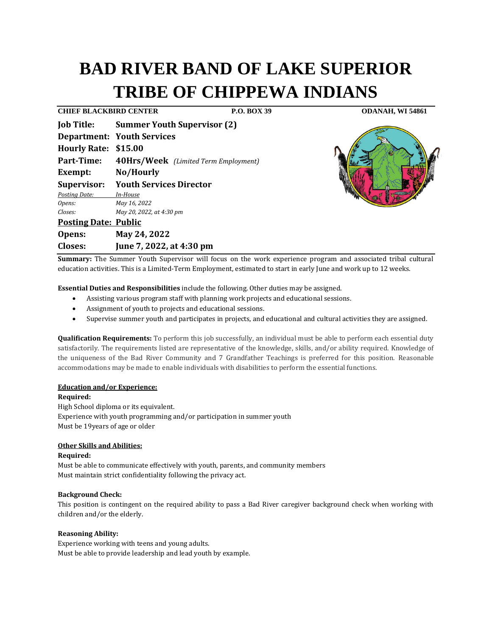# **BAD RIVER BAND OF LAKE SUPERIOR TRIBE OF CHIPPEWA INDIANS**

**CHIEF BLACKBIRD CENTER P.O. BOX 39 ODANAH, WI 54861**

**Closes: June 7, 2022, at 4:30 pm**

| <b>Job Title:</b>           | <b>Summer Youth Supervisor (2)</b>   |
|-----------------------------|--------------------------------------|
|                             | <b>Department: Youth Services</b>    |
| Hourly Rate: \$15.00        |                                      |
| Part-Time:                  | 40Hrs/Week (Limited Term Employment) |
| Exempt:                     | No/Hourly                            |
| <b>Supervisor:</b>          | <b>Youth Services Director</b>       |
| Posting Date:               | In-House                             |
| Opens:                      | May 16, 2022                         |
| Closes:                     | May 20, 2022, at 4:30 pm             |
| <b>Posting Date: Public</b> |                                      |
| Opens:                      | May 24, 2022                         |



**Summary:** The Summer Youth Supervisor will focus on the work experience program and associated tribal cultural education activities. This is a Limited-Term Employment, estimated to start in early June and work up to 12 weeks.

**Essential Duties and Responsibilities** include the following. Other duties may be assigned.

- Assisting various program staff with planning work projects and educational sessions.
- Assignment of youth to projects and educational sessions.
- Supervise summer youth and participates in projects, and educational and cultural activities they are assigned.

**Qualification Requirements:** To perform this job successfully, an individual must be able to perform each essential duty satisfactorily. The requirements listed are representative of the knowledge, skills, and/or ability required. Knowledge of the uniqueness of the Bad River Community and 7 Grandfather Teachings is preferred for this position. Reasonable accommodations may be made to enable individuals with disabilities to perform the essential functions.

## **Education and/or Experience:**

**Required:**

High School diploma or its equivalent. Experience with youth programming and/or participation in summer youth Must be 19years of age or older

## **Other Skills and Abilities:**

# **Required:**

Must be able to communicate effectively with youth, parents, and community members Must maintain strict confidentiality following the privacy act.

## **Background Check:**

This position is contingent on the required ability to pass a Bad River caregiver background check when working with children and/or the elderly.

# **Reasoning Ability:**

Experience working with teens and young adults. Must be able to provide leadership and lead youth by example.